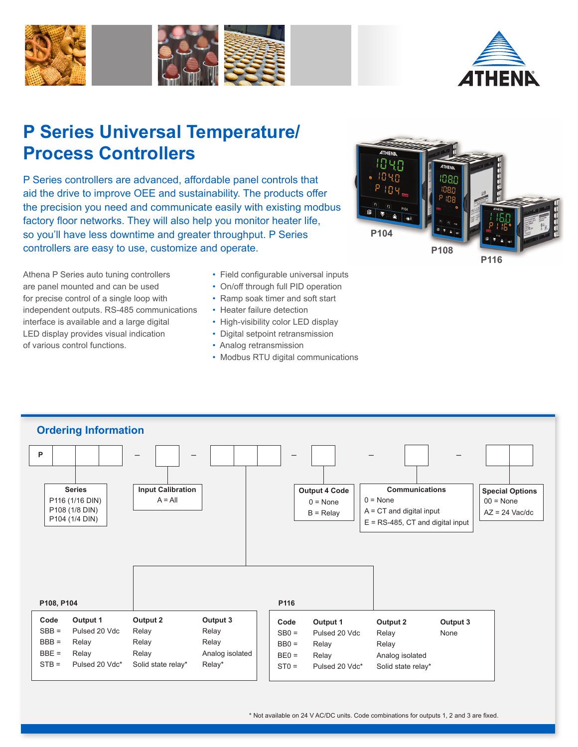



# **P Series Universal Temperature/ Process Controllers**

P Series controllers are advanced, affordable panel controls that aid the drive to improve OEE and sustainability. The products offer the precision you need and communicate easily with existing modbus factory floor networks. They will also help you monitor heater life, so you'll have less downtime and greater throughput. P Series controllers are easy to use, customize and operate.



Athena P Series auto tuning controllers are panel mounted and can be used for precise control of a single loop with independent outputs. RS-485 communications interface is available and a large digital LED display provides visual indication of various control functions.

- Field configurable universal inputs
- On/off through full PID operation
- Ramp soak timer and soft start
- Heater failure detection
- High-visibility color LED display
- Digital setpoint retransmission
- Analog retransmission
- Modbus RTU digital communications